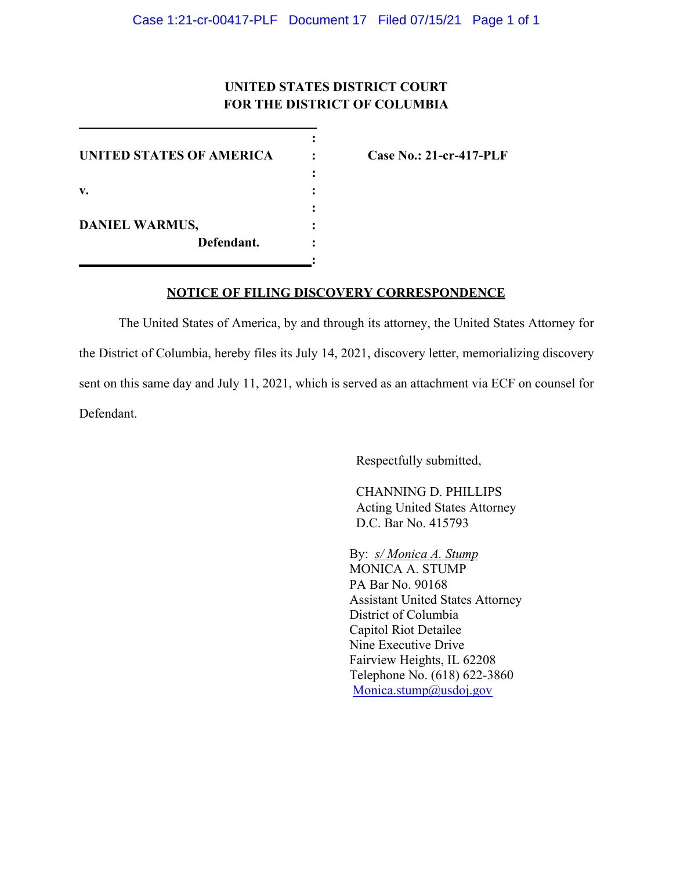## **UNITED STATES DISTRICT COURT FOR THE DISTRICT OF COLUMBIA**

**:**

**:**

**:** 

**:**

**UNITED STATES OF AMERICA : Case No.: 21-cr-417-PLF v. : DANIEL WARMUS, : Defendant. :**

## **NOTICE OF FILING DISCOVERY CORRESPONDENCE**

The United States of America, by and through its attorney, the United States Attorney for the District of Columbia, hereby files its July 14, 2021, discovery letter, memorializing discovery sent on this same day and July 11, 2021, which is served as an attachment via ECF on counsel for Defendant.

Respectfully submitted,

CHANNING D. PHILLIPS Acting United States Attorney D.C. Bar No. 415793

By: *s/ Monica A. Stump* MONICA A. STUMP PA Bar No. 90168 Assistant United States Attorney District of Columbia Capitol Riot Detailee Nine Executive Drive Fairview Heights, IL 62208 Telephone No. (618) 622-3860 Monica.stump@usdoj.gov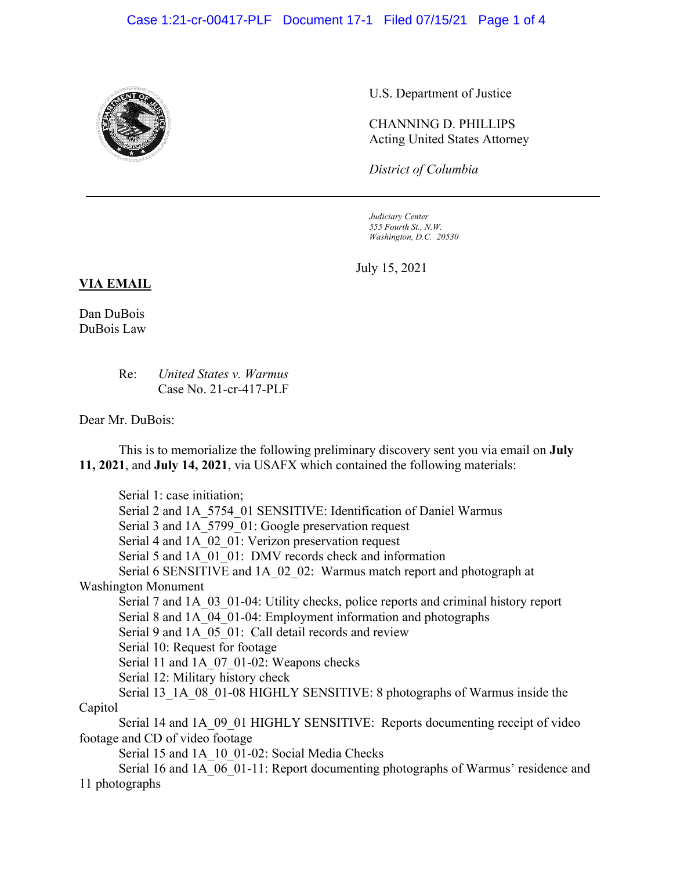## Case 1:21-cr-00417-PLF Document 17-1 Filed 07/15/21 Page 1 of 4



U.S. Department of Justice

CHANNING D. PHILLIPS Acting United States Attorney

*District of Columbia*

*Judiciary Center 555 Fourth St., N.W. Washington, D.C. 20530*

July 15, 2021

## **VIA EMAIL**

Dan DuBois DuBois Law

> Re: *United States v. Warmus* Case No. 21-cr-417-PLF

Dear Mr. DuBois:

This is to memorialize the following preliminary discovery sent you via email on **July 11, 2021**, and **July 14, 2021**, via USAFX which contained the following materials:

Serial 1: case initiation; Serial 2 and 1A\_5754\_01 SENSITIVE: Identification of Daniel Warmus Serial 3 and 1A 5799 01: Google preservation request Serial 4 and 1A 02 01: Verizon preservation request Serial 5 and 1A 01 01: DMV records check and information Serial 6 SENSITIVE and 1A 02 02: Warmus match report and photograph at Washington Monument Serial 7 and 1A 03 01-04: Utility checks, police reports and criminal history report Serial 8 and 1A 04 01-04: Employment information and photographs Serial 9 and 1A 05 01: Call detail records and review Serial 10: Request for footage Serial 11 and 1A\_07\_01-02: Weapons checks Serial 12: Military history check Serial 13\_1A\_08\_01-08 HIGHLY SENSITIVE: 8 photographs of Warmus inside the Capitol Serial 14 and 1A 09 01 HIGHLY SENSITIVE: Reports documenting receipt of video footage and CD of video footage Serial 15 and 1A 10 01-02: Social Media Checks Serial 16 and 1A 06 01-11: Report documenting photographs of Warmus' residence and 11 photographs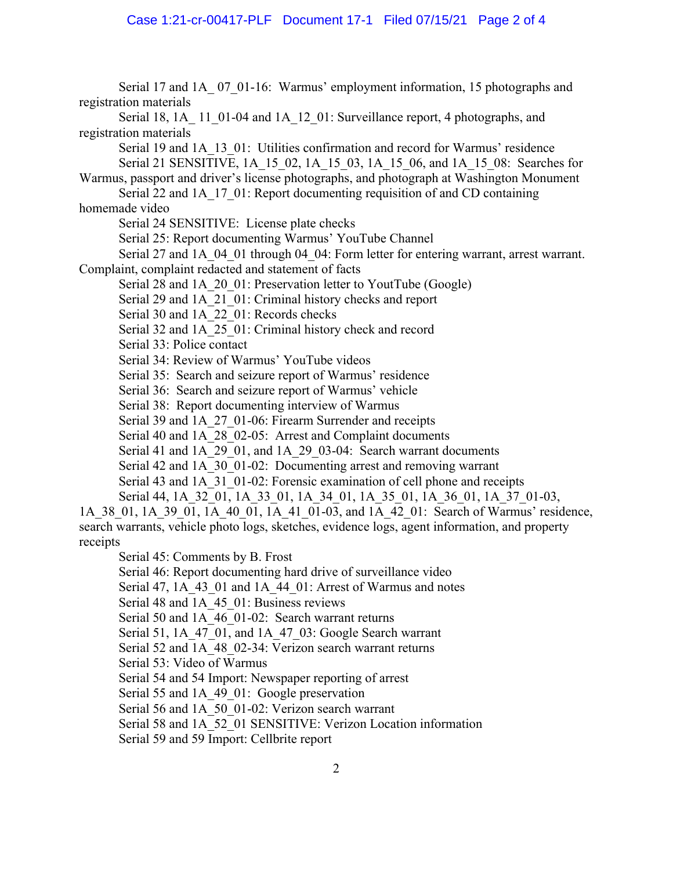Serial 17 and 1A\_ 07\_01-16: Warmus' employment information, 15 photographs and registration materials Serial 18, 1A 11 01-04 and 1A 12 01: Surveillance report, 4 photographs, and registration materials Serial 19 and 1A\_13\_01: Utilities confirmation and record for Warmus' residence Serial 21 SENSITIVE, 1A\_15\_02, 1A\_15\_03, 1A\_15\_06, and 1A\_15\_08: Searches for Warmus, passport and driver's license photographs, and photograph at Washington Monument Serial 22 and 1A\_17\_01: Report documenting requisition of and CD containing homemade video Serial 24 SENSITIVE: License plate checks Serial 25: Report documenting Warmus' YouTube Channel Serial 27 and 1A 04 01 through 04 04: Form letter for entering warrant, arrest warrant. Complaint, complaint redacted and statement of facts Serial 28 and 1A 20 01: Preservation letter to YoutTube (Google) Serial 29 and 1A 21 01: Criminal history checks and report Serial 30 and 1A\_22\_01: Records checks Serial 32 and 1A 25 01: Criminal history check and record Serial 33: Police contact Serial 34: Review of Warmus' YouTube videos Serial 35: Search and seizure report of Warmus' residence Serial 36: Search and seizure report of Warmus' vehicle Serial 38: Report documenting interview of Warmus Serial 39 and 1A 27 01-06: Firearm Surrender and receipts Serial 40 and 1A\_28\_02-05: Arrest and Complaint documents Serial 41 and 1A 29 01, and 1A 29 03-04: Search warrant documents Serial 42 and 1A\_30\_01-02: Documenting arrest and removing warrant Serial 43 and 1A 31 01-02: Forensic examination of cell phone and receipts Serial 44, 1A\_32\_01, 1A\_33\_01, 1A\_34\_01, 1A\_35\_01, 1A\_36\_01, 1A\_37\_01-03, 1A 38 01, 1A 39 01, 1A 40 01, 1A 41 01-03, and 1A 42 01: Search of Warmus' residence, search warrants, vehicle photo logs, sketches, evidence logs, agent information, and property receipts Serial 45: Comments by B. Frost Serial 46: Report documenting hard drive of surveillance video Serial 47, 1A<sup>43</sup> 01 and 1A<sup>44</sup> 01: Arrest of Warmus and notes

Serial 48 and 1A 45 01: Business reviews

Serial 50 and 1A 46 01-02: Search warrant returns

Serial 51, 1A 47 01, and 1A 47 03: Google Search warrant

Serial 52 and 1A 48 02-34: Verizon search warrant returns

Serial 53: Video of Warmus

Serial 54 and 54 Import: Newspaper reporting of arrest

Serial 55 and 1A 49 01: Google preservation

Serial 56 and 1A\_50\_01-02: Verizon search warrant

Serial 58 and 1A\_52\_01 SENSITIVE: Verizon Location information

Serial 59 and 59 Import: Cellbrite report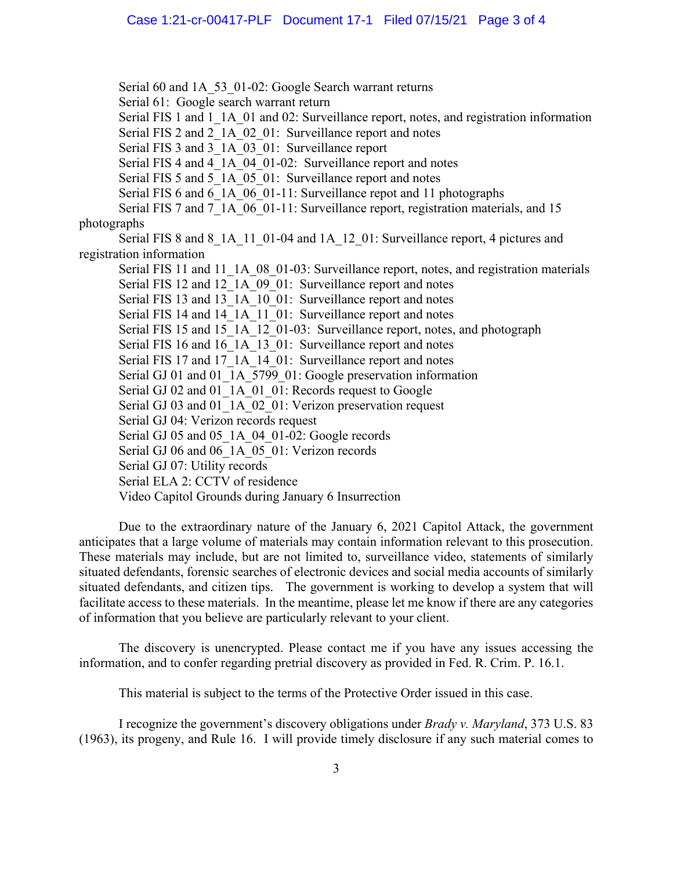Serial 60 and 1A 53 01-02: Google Search warrant returns Serial 61: Google search warrant return Serial FIS 1 and 1 1A 01 and 02: Surveillance report, notes, and registration information Serial FIS 2 and 2 1A 02 01: Surveillance report and notes Serial FIS 3 and 3 1A 03 01: Surveillance report Serial FIS 4 and 4 1A 04 01-02: Surveillance report and notes Serial FIS 5 and 5 1A 05 01: Surveillance report and notes Serial FIS 6 and 6 1A 06 01-11: Surveillance repot and 11 photographs Serial FIS 7 and 7 1A 06 01-11: Surveillance report, registration materials, and 15 photographs Serial FIS 8 and 8 1A 11 01-04 and 1A 12 01: Surveillance report, 4 pictures and registration information Serial FIS 11 and 11 1A 08 01-03: Surveillance report, notes, and registration materials Serial FIS 12 and 12\_1A\_09\_01: Surveillance report and notes Serial FIS 13 and 13 1A 10 01: Surveillance report and notes Serial FIS 14 and 14 1A 11 01: Surveillance report and notes Serial FIS 15 and 15\_1A\_12\_01-03: Surveillance report, notes, and photograph Serial FIS 16 and 16\_1A\_13\_01: Surveillance report and notes Serial FIS 17 and 17\_1A\_14\_01: Surveillance report and notes Serial GJ 01 and 01 1A 5799 01: Google preservation information Serial GJ 02 and 01 1A 01 01: Records request to Google Serial GJ 03 and 01\_1A\_02\_01: Verizon preservation request Serial GJ 04: Verizon records request Serial GJ 05 and 05 1A 04 01-02: Google records Serial GJ 06 and 06 1A 05 01: Verizon records Serial GJ 07: Utility records Serial ELA 2: CCTV of residence Video Capitol Grounds during January 6 Insurrection

Due to the extraordinary nature of the January 6, 2021 Capitol Attack, the government anticipates that a large volume of materials may contain information relevant to this prosecution. These materials may include, but are not limited to, surveillance video, statements of similarly situated defendants, forensic searches of electronic devices and social media accounts of similarly situated defendants, and citizen tips. The government is working to develop a system that will facilitate access to these materials. In the meantime, please let me know if there are any categories of information that you believe are particularly relevant to your client.

The discovery is unencrypted. Please contact me if you have any issues accessing the information, and to confer regarding pretrial discovery as provided in Fed. R. Crim. P. 16.1.

This material is subject to the terms of the Protective Order issued in this case.

I recognize the government's discovery obligations under *Brady v. Maryland*, 373 U.S. 83 (1963), its progeny, and Rule 16. I will provide timely disclosure if any such material comes to